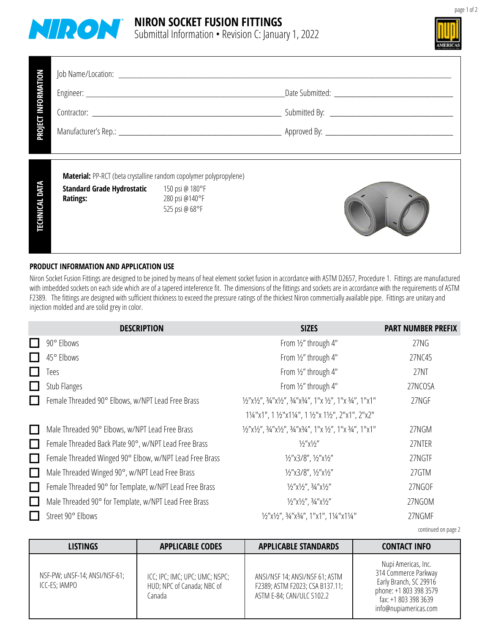



GN NOI SUF TEKCOS- WOBLE° <sup>09</sup> 52101I <sup>N</sup>

71. 8 29. 4 71. 8 29. 4 78. 1 05. 6 54. 4 mm521 >= 4 521 GN72

| RMATION<br><b>Dall</b>          |                                                                                                                            |                                                     |  |  |  |
|---------------------------------|----------------------------------------------------------------------------------------------------------------------------|-----------------------------------------------------|--|--|--|
|                                 |                                                                                                                            |                                                     |  |  |  |
| <b>PROJECT</b>                  |                                                                                                                            |                                                     |  |  |  |
| <b>DATA</b><br><b>TECHNICAL</b> | Material: PP-RCT (beta crystalline random copolymer polypropylene)<br><b>Standard Grade Hydrostatic</b><br><b>Ratings:</b> | 150 psi @ 180°F<br>280 psi @140°F<br>525 psi @ 68°F |  |  |  |

## **PRODUCT INFORMATION AND APPLICATION USE**

Niron Socket Fusion Fittings are designed to be joined by means of heat element socket fusion in accordance with ASTM D2657, Procedure 1. Fittings are manufactured with imbedded sockets on each side which are of a tapered inteference fit. The dimensions of the fittings and sockets are in accordance with the requirements of ASTM F2389. The fittings are designed with sufficient thickness to exceed the pressure ratings of the thickest Niron commercially available pipe. Fittings are unitary and injection molded and are solid grey in color.

: o N GNI WARD WARD

|              | <b>DESCRIPTION</b>                                      | <b>SIZES</b>                                               | <b>PART NUMBER PREFIX</b> |
|--------------|---------------------------------------------------------|------------------------------------------------------------|---------------------------|
|              | 90° Elbows                                              | From 1/2" through 4"                                       | 27NG                      |
|              | 45° Elbows                                              | From 1/2" through 4"                                       | 27NC45                    |
|              | Tees                                                    | From 1/2" through 4"                                       | 27NT                      |
|              | Stub Flanges                                            | From 1/2" through 4"                                       | 27NCOSA                   |
|              | Female Threaded 90° Elbows, w/NPT Lead Free Brass       | 1/2"x1/2", 3/4"x1/2", 3/4"x3/4", 1"x 1/2", 1"x 3/4", 1"x1" | 27NGF                     |
|              |                                                         | 11/4"x1", 1 1/2"x11/4", 1 1/2"x 11/2", 2"x1", 2"x2"        |                           |
| $\mathsf{L}$ | Male Threaded 90° Elbows, w/NPT Lead Free Brass         | 1/2"x1/2", 3/4"x1/2", 3/4"x3/4", 1"x 1/2", 1"x 3/4", 1"x1" | 27NGM                     |
| $\mathsf{L}$ | Female Threaded Back Plate 90°, w/NPT Lead Free Brass   | $1/2''$ $\times 1/2''$                                     | 27NTER                    |
|              | Female Threaded Winged 90° Elbow, w/NPT Lead Free Brass | 1/2"x3/8", 1/2"x1/2"                                       | 27NGTF                    |
| $\mathsf{L}$ | Male Threaded Winged 90°, w/NPT Lead Free Brass         | 1/2"x3/8", 1/2"x1/2"                                       | 27GTM                     |
|              | Female Threaded 90° for Template, w/NPT Lead Free Brass | 1/2" x1/2", 3/4" x1/2"                                     | 27NGOF                    |
| $\Box$       | Male Threaded 90° for Template, w/NPT Lead Free Brass   | $1/2$ " $x$ $1/2$ ", $3/4$ " $x$ $1/2$ "                   | 27NGOM                    |
|              | Street 90° Elbows                                       | 1/2"x1/2", 3/4"x3/4", 1"x1", 11/4"x11/4"                   | 27NGMF                    |

continued on page 2

| <b>LISTINGS</b>                                | <b>APPLICABLE CODES</b>                                                | <b>APPLICABLE STANDARDS</b>                                                                    | <b>CONTACT INFO</b>                                                                                                                              |
|------------------------------------------------|------------------------------------------------------------------------|------------------------------------------------------------------------------------------------|--------------------------------------------------------------------------------------------------------------------------------------------------|
| NSF-PW; uNSF-14; ANSI/NSF-61;<br>ICC-ES; IAMPO | ICC; IPC; IMC; UPC; UMC; NSPC;<br>HUD; NPC of Canada; NBC of<br>Canada | ANSI/NSF 14; ANSI/NSF 61; ASTM<br>F2389; ASTM F2023; CSA B137.11;<br>ASTM E-84; CAN/ULC S102.2 | Nupi Americas, Inc.<br>314 Commerce Parkway<br>Early Branch, SC 29916<br>phone: +1 803 398 3579<br>fax: +1 803 398 3639<br>info@nupiamericas.com |